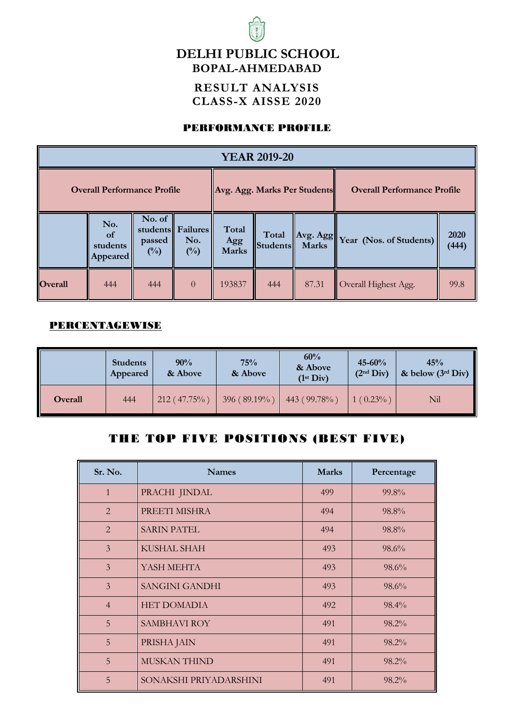## **DELHI PUBLIC SCHOOL BOPAL-AHMEDABAD**

#### **RESULT ANALYSIS CLASS-X AISSE 2020**

#### PERFORMANCE PROFILE

| <b>YEAR 2019-20</b>                |                                              |                                    |                                           |                              |                          |              |                                          |               |
|------------------------------------|----------------------------------------------|------------------------------------|-------------------------------------------|------------------------------|--------------------------|--------------|------------------------------------------|---------------|
| <b>Overall Performance Profile</b> |                                              |                                    |                                           | Avg. Agg. Marks Per Students |                          |              | <b>Overall Performance Profile</b>       |               |
|                                    | No.<br><sub>of</sub><br>students<br>Appeared | No. of<br>passed<br>$\binom{0}{0}$ | students Failures<br>No.<br>$(^{0}/_{0})$ | Total<br>Agg<br><b>Marks</b> | Total<br><b>Students</b> | <b>Marks</b> | $\ Avg. Agg\ _{Year}$ (Nos. of Students) | 2020<br>(444) |
| <b>Overall</b>                     | 444                                          | 444                                | $\Omega$                                  | 193837                       | 444                      | 87.31        | Overall Highest Agg.                     | 99.8          |

#### PERCENTAGEWISE

|                | <b>Students</b><br>Appeared | 90%<br>& Above | 75%<br>& Above    | 60%<br>& Above<br>$(1^{st}$ Div) | $45 - 60%$<br>(2 <sup>nd</sup> Div) | 45%<br>& below $(3^{rd}$ Div) |
|----------------|-----------------------------|----------------|-------------------|----------------------------------|-------------------------------------|-------------------------------|
| <b>Overall</b> | 444                         | $212(47.75\%)$ | 396 ( $89.19\%$ ) | 443 (99.78%)                     | $1(0.23\%)$                         | Nil                           |

#### THE TOP FIVE POSITIONS (BEST FIVE)

| Sr. No.        | <b>Names</b>           | <b>Marks</b> | Percentage |
|----------------|------------------------|--------------|------------|
| $\mathbf{1}$   | PRACHI JINDAL          | 499          | 99.8%      |
| $\overline{2}$ | PREETI MISHRA          | 494          | $98.8\%$   |
| $\overline{2}$ | <b>SARIN PATEL</b>     | 494          | $98.8\%$   |
| $\overline{3}$ | <b>KUSHAL SHAH</b>     | 493          | $98.6\%$   |
| $\overline{3}$ | YASH MEHTA             | 493          | $98.6\%$   |
| $\overline{3}$ | <b>SANGINI GANDHI</b>  | 493          | 98.6%      |
| $\overline{4}$ | <b>HET DOMADIA</b>     | 492          | 98.4%      |
| 5              | <b>SAMBHAVI ROY</b>    | 491          | 98.2%      |
| 5              | PRISHA JAIN            | 491          | 98.2%      |
| 5              | <b>MUSKAN THIND</b>    | 491          | 98.2%      |
| 5              | SONAKSHI PRIYADARSHINI | 491          | 98.2%      |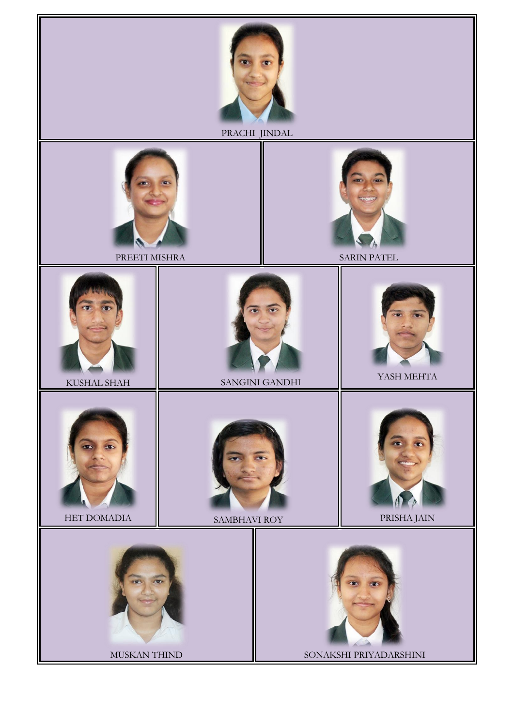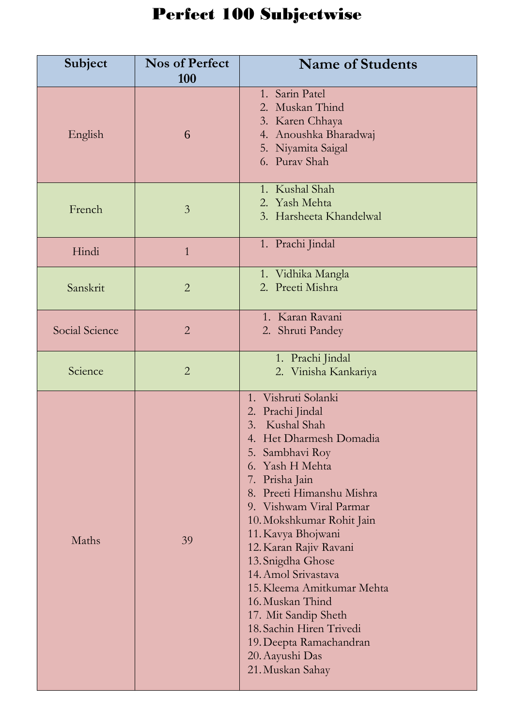# Perfect 100 Subjectwise

| Subject        | <b>Nos of Perfect</b><br><b>100</b> | <b>Name of Students</b>                                                                                                                                                                                                                                                                                                                                                                                                                                                                               |
|----------------|-------------------------------------|-------------------------------------------------------------------------------------------------------------------------------------------------------------------------------------------------------------------------------------------------------------------------------------------------------------------------------------------------------------------------------------------------------------------------------------------------------------------------------------------------------|
| English        | 6                                   | 1. Sarin Patel<br>2. Muskan Thind<br>3. Karen Chhaya<br>4. Anoushka Bharadwaj<br>5. Niyamita Saigal<br>6. Purav Shah                                                                                                                                                                                                                                                                                                                                                                                  |
| French         | $\overline{3}$                      | 1. Kushal Shah<br>2. Yash Mehta<br>3. Harsheeta Khandelwal                                                                                                                                                                                                                                                                                                                                                                                                                                            |
| Hindi          | $\mathbf{1}$                        | 1. Prachi Jindal                                                                                                                                                                                                                                                                                                                                                                                                                                                                                      |
| Sanskrit       | $\overline{2}$                      | 1. Vidhika Mangla<br>2. Preeti Mishra                                                                                                                                                                                                                                                                                                                                                                                                                                                                 |
| Social Science | $\overline{2}$                      | 1. Karan Ravani<br>2. Shruti Pandey                                                                                                                                                                                                                                                                                                                                                                                                                                                                   |
| Science        | $\overline{2}$                      | 1. Prachi Jindal<br>2. Vinisha Kankariya                                                                                                                                                                                                                                                                                                                                                                                                                                                              |
| Maths          | 39                                  | 1. Vishruti Solanki<br>2. Prachi Jindal<br>3. Kushal Shah<br>4. Het Dharmesh Domadia<br>5. Sambhavi Roy<br>6. Yash H Mehta<br>7. Prisha Jain<br>8. Preeti Himanshu Mishra<br>9. Vishwam Viral Parmar<br>10. Mokshkumar Rohit Jain<br>11. Kavya Bhojwani<br>12. Karan Rajiv Ravani<br>13. Snigdha Ghose<br>14. Amol Srivastava<br>15. Kleema Amitkumar Mehta<br>16. Muskan Thind<br>17. Mit Sandip Sheth<br>18. Sachin Hiren Trivedi<br>19. Deepta Ramachandran<br>20. Aayushi Das<br>21. Muskan Sahay |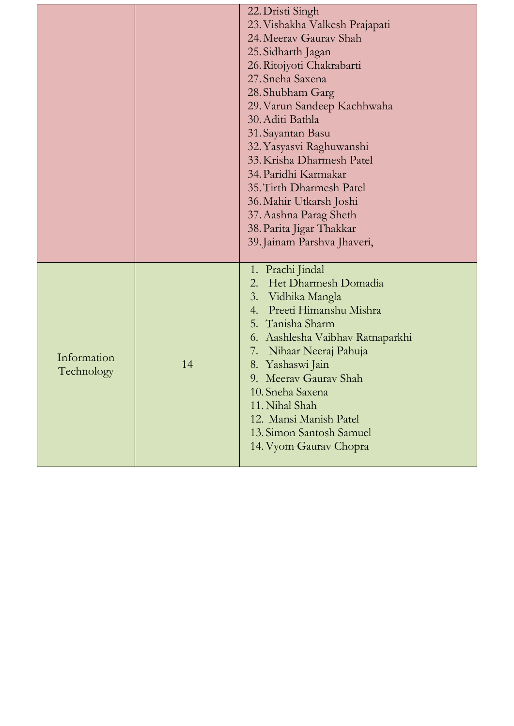|                           |    | 22. Dristi Singh<br>23. Vishakha Valkesh Prajapati<br>24. Meerav Gaurav Shah<br>25. Sidharth Jagan<br>26. Ritojyoti Chakrabarti<br>27. Sneha Saxena<br>28. Shubham Garg<br>29. Varun Sandeep Kachhwaha<br>30. Aditi Bathla<br>31. Sayantan Basu<br>32. Yasyasvi Raghuwanshi<br>33. Krisha Dharmesh Patel<br>34. Paridhi Karmakar<br>35. Tirth Dharmesh Patel<br>36. Mahir Utkarsh Joshi<br>37. Aashna Parag Sheth<br>38. Parita Jigar Thakkar<br>39. Jainam Parshva Jhaveri, |
|---------------------------|----|------------------------------------------------------------------------------------------------------------------------------------------------------------------------------------------------------------------------------------------------------------------------------------------------------------------------------------------------------------------------------------------------------------------------------------------------------------------------------|
| Information<br>Technology | 14 | 1. Prachi Jindal<br>Het Dharmesh Domadia<br>2.<br>3. Vidhika Mangla<br>4. Preeti Himanshu Mishra<br>5. Tanisha Sharm<br>6. Aashlesha Vaibhav Ratnaparkhi<br>Nihaar Neeraj Pahuja<br>7.<br>8. Yashaswi Jain<br>9. Meerav Gaurav Shah<br>10. Sneha Saxena<br>11. Nihal Shah<br>12. Mansi Manish Patel<br>13. Simon Santosh Samuel<br>14. Vyom Gaurav Chopra                                                                                                                    |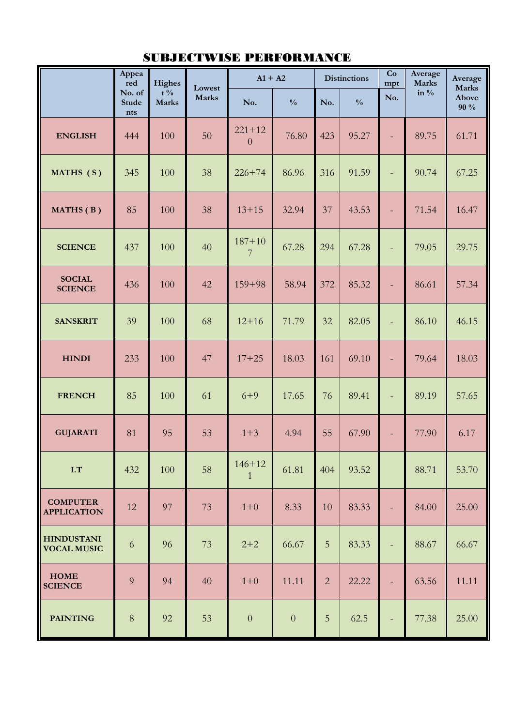|                                         | Appea<br>red                  | Highes                         | Lowest       | $A1 + A2$                    |                |                | <b>Distinctions</b> | Co<br>mpt                | Average<br><b>Marks</b> | Average<br><b>Marks</b> |
|-----------------------------------------|-------------------------------|--------------------------------|--------------|------------------------------|----------------|----------------|---------------------|--------------------------|-------------------------|-------------------------|
|                                         | No. of<br><b>Stude</b><br>nts | $t\frac{0}{6}$<br><b>Marks</b> | <b>Marks</b> | No.                          | $\frac{0}{0}$  | No.            | $\frac{0}{0}$       | No.                      | in $\%$                 | Above<br>90 %           |
| <b>ENGLISH</b>                          | 444                           | 100                            | 50           | $221 + 12$<br>$\overline{0}$ | 76.80          | 423            | 95.27               | $\overline{\phantom{a}}$ | 89.75                   | 61.71                   |
| MATHS (S)                               | 345                           | 100                            | 38           | $226 + 74$                   | 86.96          | 316            | 91.59               | $\equiv$                 | 90.74                   | 67.25                   |
| MATHS (B)                               | 85                            | 100                            | 38           | $13 + 15$                    | 32.94          | 37             | 43.53               | $\equiv$                 | 71.54                   | 16.47                   |
| <b>SCIENCE</b>                          | 437                           | 100                            | 40           | $187 + 10$<br>7              | 67.28          | 294            | 67.28               | $\overline{\phantom{a}}$ | 79.05                   | 29.75                   |
| <b>SOCIAL</b><br><b>SCIENCE</b>         | 436                           | 100                            | 42           | $159 + 98$                   | 58.94          | 372            | 85.32               | $\overline{\phantom{a}}$ | 86.61                   | 57.34                   |
| <b>SANSKRIT</b>                         | 39                            | 100                            | 68           | $12 + 16$                    | 71.79          | 32             | 82.05               | $\equiv$                 | 86.10                   | 46.15                   |
| <b>HINDI</b>                            | 233                           | 100                            | 47           | $17 + 25$                    | 18.03          | 161            | 69.10               | $\qquad \qquad -$        | 79.64                   | 18.03                   |
| <b>FRENCH</b>                           | 85                            | 100                            | 61           | $6 + 9$                      | 17.65          | 76             | 89.41               | $\overline{\phantom{a}}$ | 89.19                   | 57.65                   |
| <b>GUJARATI</b>                         | 81                            | 95                             | 53           | $1 + 3$                      | 4.94           | 55             | 67.90               |                          | 77.90                   | 6.17                    |
| I.T                                     | 432                           | 100                            | 58           | $146 + 12$<br>$\mathbf{1}$   | 61.81          | 404            | 93.52               |                          | 88.71                   | 53.70                   |
| <b>COMPUTER</b><br><b>APPLICATION</b>   | 12                            | 97                             | 73           | $1 + 0$                      | 8.33           | 10             | 83.33               | $\overline{\phantom{a}}$ | 84.00                   | 25.00                   |
| <b>HINDUSTANI</b><br><b>VOCAL MUSIC</b> | 6                             | 96                             | 73           | $2 + 2$                      | 66.67          | 5              | 83.33               | $\overline{\phantom{a}}$ | 88.67                   | 66.67                   |
| <b>HOME</b><br><b>SCIENCE</b>           | 9                             | 94                             | 40           | $1 + 0$                      | 11.11          | $\overline{2}$ | 22.22               | $\blacksquare$           | 63.56                   | 11.11                   |
| <b>PAINTING</b>                         | $8\,$                         | 92                             | 53           | $\boldsymbol{0}$             | $\overline{0}$ | 5              | 62.5                |                          | 77.38                   | 25.00                   |

### SUBJECTWISE PERFORMANCE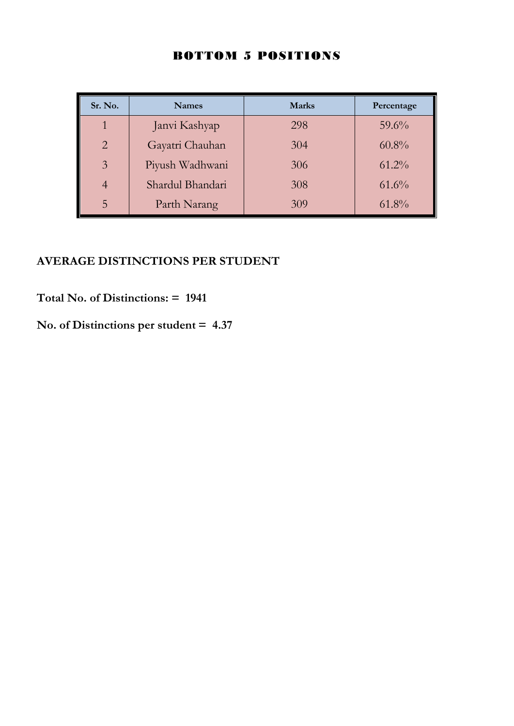| Sr. No.        | <b>Names</b>     | <b>Marks</b> | Percentage |
|----------------|------------------|--------------|------------|
| 1              | Janvi Kashyap    | 298          | $59.6\%$   |
| 2              | Gayatri Chauhan  | 304          | $60.8\%$   |
| $\overline{3}$ | Piyush Wadhwani  | 306          | $61.2\%$   |
|                | Shardul Bhandari | 308          | $61.6\%$   |
| 5              | Parth Narang     | 309          | $61.8\%$   |

## **AVERAGE DISTINCTIONS PER STUDENT**

**Total No. of Distinctions: = 1941**

**No. of Distinctions per student = 4.37**